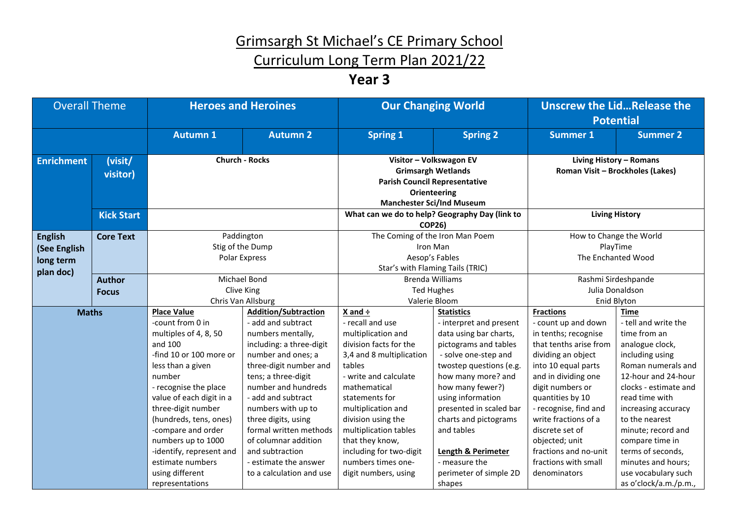#### Curriculum Long Term Plan 2021/22

#### **Year 3**

| <b>Overall Theme</b>                        |                     | <b>Heroes and Heroines</b>             |                                                 | <b>Our Changing World</b>                                                                                                                               |                                                   | <b>Unscrew the LidRelease the</b><br><b>Potential</b>       |                                     |
|---------------------------------------------|---------------------|----------------------------------------|-------------------------------------------------|---------------------------------------------------------------------------------------------------------------------------------------------------------|---------------------------------------------------|-------------------------------------------------------------|-------------------------------------|
|                                             |                     | <b>Autumn 1</b>                        | <b>Autumn 2</b>                                 | <b>Spring 1</b>                                                                                                                                         | <b>Spring 2</b>                                   | <b>Summer 1</b>                                             | <b>Summer 2</b>                     |
| <b>Enrichment</b>                           | (visit/<br>visitor) | <b>Church - Rocks</b>                  |                                                 | Visitor - Volkswagon EV<br><b>Grimsargh Wetlands</b><br><b>Parish Council Representative</b><br><b>Orienteering</b><br><b>Manchester Sci/Ind Museum</b> |                                                   | Living History - Romans<br>Roman Visit - Brockholes (Lakes) |                                     |
|                                             | <b>Kick Start</b>   |                                        |                                                 | What can we do to help? Geography Day (link to<br><b>COP26)</b>                                                                                         |                                                   | <b>Living History</b>                                       |                                     |
| <b>English</b><br>(See English<br>long term | <b>Core Text</b>    |                                        | Paddington<br>Stig of the Dump<br>Polar Express | The Coming of the Iron Man Poem<br>Iron Man<br>Aesop's Fables<br>Star's with Flaming Tails (TRIC)                                                       |                                                   | How to Change the World<br>PlayTime<br>The Enchanted Wood   |                                     |
| plan doc)                                   | <b>Author</b>       | Michael Bond                           |                                                 | <b>Brenda Williams</b>                                                                                                                                  |                                                   | Rashmi Sirdeshpande                                         |                                     |
|                                             | <b>Focus</b>        | Clive King                             |                                                 | <b>Ted Hughes</b>                                                                                                                                       |                                                   | Julia Donaldson                                             |                                     |
|                                             |                     | Chris Van Allsburg                     |                                                 | Valerie Bloom                                                                                                                                           |                                                   | Enid Blyton                                                 |                                     |
| <b>Maths</b>                                |                     | <b>Place Value</b><br>-count from 0 in | <b>Addition/Subtraction</b>                     | $X$ and $\div$<br>- recall and use                                                                                                                      | <b>Statistics</b>                                 | <b>Fractions</b>                                            | <b>Time</b><br>- tell and write the |
|                                             |                     | multiples of 4, 8, 50                  | - add and subtract<br>numbers mentally,         | multiplication and                                                                                                                                      | - interpret and present<br>data using bar charts, | - count up and down<br>in tenths; recognise                 | time from an                        |
|                                             |                     | and 100                                | including: a three-digit                        | division facts for the                                                                                                                                  | pictograms and tables                             | that tenths arise from                                      | analogue clock,                     |
|                                             |                     | -find 10 or 100 more or                | number and ones; a                              | 3,4 and 8 multiplication                                                                                                                                | - solve one-step and                              | dividing an object                                          | including using                     |
|                                             |                     | less than a given                      | three-digit number and                          | tables                                                                                                                                                  | twostep questions (e.g.                           | into 10 equal parts                                         | Roman numerals and                  |
|                                             |                     | number                                 | tens; a three-digit                             | - write and calculate                                                                                                                                   | how many more? and                                | and in dividing one                                         | 12-hour and 24-hour                 |
|                                             |                     | - recognise the place                  | number and hundreds                             | mathematical                                                                                                                                            | how many fewer?)                                  | digit numbers or                                            | clocks - estimate and               |
|                                             |                     | value of each digit in a               | - add and subtract                              | statements for                                                                                                                                          | using information                                 | quantities by 10                                            | read time with                      |
|                                             |                     | three-digit number                     | numbers with up to                              | multiplication and                                                                                                                                      | presented in scaled bar                           | - recognise, find and                                       | increasing accuracy                 |
|                                             |                     | (hundreds, tens, ones)                 | three digits, using                             | division using the                                                                                                                                      | charts and pictograms                             | write fractions of a                                        | to the nearest                      |
|                                             |                     | -compare and order                     | formal written methods                          | multiplication tables                                                                                                                                   | and tables                                        | discrete set of                                             | minute; record and                  |
|                                             |                     | numbers up to 1000                     | of columnar addition                            | that they know,                                                                                                                                         |                                                   | objected; unit                                              | compare time in                     |
|                                             |                     | -identify, represent and               | and subtraction                                 | including for two-digit                                                                                                                                 | <b>Length &amp; Perimeter</b>                     | fractions and no-unit                                       | terms of seconds,                   |
|                                             |                     | estimate numbers                       | - estimate the answer                           | numbers times one-                                                                                                                                      | - measure the                                     | fractions with small                                        | minutes and hours;                  |
|                                             |                     | using different                        | to a calculation and use                        | digit numbers, using                                                                                                                                    | perimeter of simple 2D                            | denominators                                                | use vocabulary such                 |
|                                             |                     | representations                        |                                                 |                                                                                                                                                         | shapes                                            |                                                             | as o'clock/a.m./p.m.,               |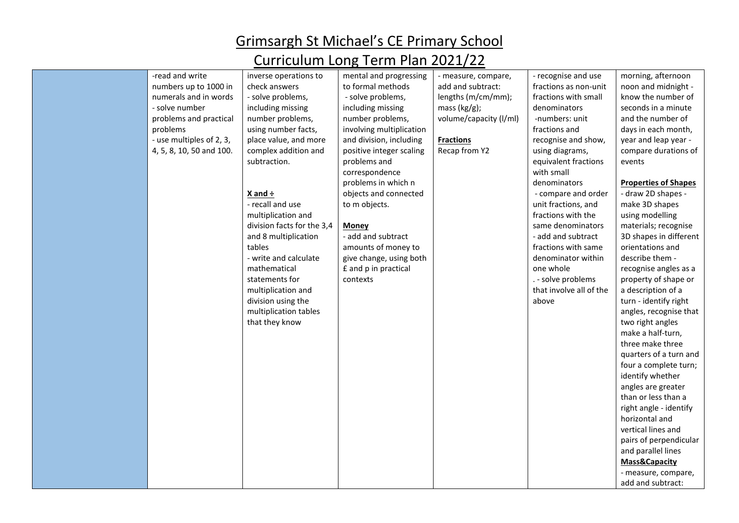| -read and write          | inverse operations to      | mental and progressing   | - measure, compare,    | - recognise and use     | morning, afternoon          |
|--------------------------|----------------------------|--------------------------|------------------------|-------------------------|-----------------------------|
| numbers up to 1000 in    | check answers              | to formal methods        | add and subtract:      | fractions as non-unit   | noon and midnight -         |
| numerals and in words    | - solve problems,          | - solve problems,        | lengths (m/cm/mm);     | fractions with small    | know the number of          |
| - solve number           | including missing          | including missing        | mass $(kg/g)$ ;        | denominators            | seconds in a minute         |
| problems and practical   | number problems,           | number problems,         | volume/capacity (I/ml) | -numbers: unit          | and the number of           |
| problems                 | using number facts,        | involving multiplication |                        | fractions and           | days in each month,         |
| - use multiples of 2, 3, | place value, and more      | and division, including  | <b>Fractions</b>       | recognise and show,     | year and leap year -        |
| 4, 5, 8, 10, 50 and 100. | complex addition and       | positive integer scaling | Recap from Y2          | using diagrams,         | compare durations of        |
|                          | subtraction.               | problems and             |                        | equivalent fractions    | events                      |
|                          |                            | correspondence           |                        | with small              |                             |
|                          |                            | problems in which n      |                        | denominators            | <b>Properties of Shapes</b> |
|                          | X and $\div$               | objects and connected    |                        | - compare and order     | - draw 2D shapes -          |
|                          | - recall and use           | to m objects.            |                        | unit fractions, and     | make 3D shapes              |
|                          | multiplication and         |                          |                        | fractions with the      | using modelling             |
|                          | division facts for the 3,4 | Money                    |                        | same denominators       | materials; recognise        |
|                          | and 8 multiplication       | - add and subtract       |                        | - add and subtract      | 3D shapes in different      |
|                          | tables                     | amounts of money to      |                        | fractions with same     | orientations and            |
|                          | - write and calculate      | give change, using both  |                        | denominator within      | describe them -             |
|                          | mathematical               | £ and p in practical     |                        | one whole               | recognise angles as a       |
|                          | statements for             | contexts                 |                        | . - solve problems      | property of shape or        |
|                          | multiplication and         |                          |                        | that involve all of the | a description of a          |
|                          | division using the         |                          |                        | above                   | turn - identify right       |
|                          | multiplication tables      |                          |                        |                         | angles, recognise that      |
|                          | that they know             |                          |                        |                         | two right angles            |
|                          |                            |                          |                        |                         | make a half-turn,           |
|                          |                            |                          |                        |                         | three make three            |
|                          |                            |                          |                        |                         | quarters of a turn and      |
|                          |                            |                          |                        |                         | four a complete turn;       |
|                          |                            |                          |                        |                         | identify whether            |
|                          |                            |                          |                        |                         | angles are greater          |
|                          |                            |                          |                        |                         | than or less than a         |
|                          |                            |                          |                        |                         | right angle - identify      |
|                          |                            |                          |                        |                         | horizontal and              |
|                          |                            |                          |                        |                         | vertical lines and          |
|                          |                            |                          |                        |                         | pairs of perpendicular      |
|                          |                            |                          |                        |                         | and parallel lines          |
|                          |                            |                          |                        |                         | Mass&Capacity               |
|                          |                            |                          |                        |                         | - measure, compare,         |
|                          |                            |                          |                        |                         | add and subtract:           |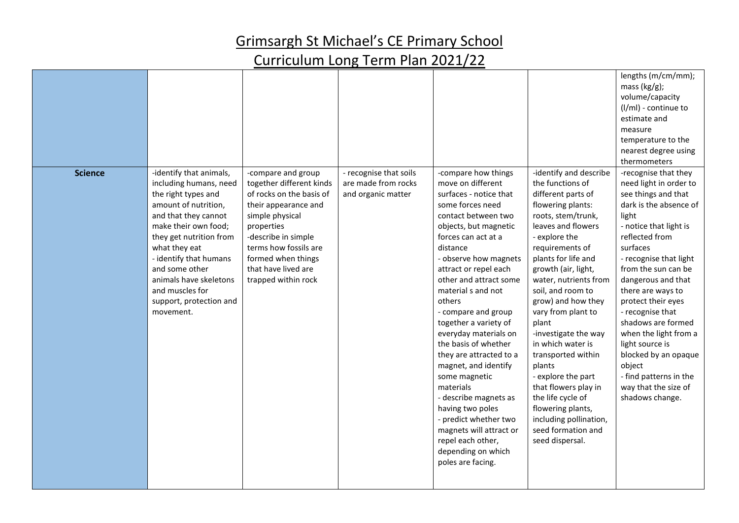|                |                                                                                                                                                                                                                                                                                                                               |                                                                                                                                                                                                                                                         |                                                                     |                                                                                                                                                                                                                                                                                                                                                                                                                                                                                                                                                                                                                                          |                                                                                                                                                                                                                                                                                                                                                                                                                                                                                                                                                                | lengths (m/cm/mm);<br>mass (kg/g);<br>volume/capacity<br>(I/ml) - continue to<br>estimate and<br>measure<br>temperature to the<br>nearest degree using<br>thermometers                                                                                                                                                                                                                                                                                                          |
|----------------|-------------------------------------------------------------------------------------------------------------------------------------------------------------------------------------------------------------------------------------------------------------------------------------------------------------------------------|---------------------------------------------------------------------------------------------------------------------------------------------------------------------------------------------------------------------------------------------------------|---------------------------------------------------------------------|------------------------------------------------------------------------------------------------------------------------------------------------------------------------------------------------------------------------------------------------------------------------------------------------------------------------------------------------------------------------------------------------------------------------------------------------------------------------------------------------------------------------------------------------------------------------------------------------------------------------------------------|----------------------------------------------------------------------------------------------------------------------------------------------------------------------------------------------------------------------------------------------------------------------------------------------------------------------------------------------------------------------------------------------------------------------------------------------------------------------------------------------------------------------------------------------------------------|---------------------------------------------------------------------------------------------------------------------------------------------------------------------------------------------------------------------------------------------------------------------------------------------------------------------------------------------------------------------------------------------------------------------------------------------------------------------------------|
| <b>Science</b> | -identify that animals,<br>including humans, need<br>the right types and<br>amount of nutrition,<br>and that they cannot<br>make their own food;<br>they get nutrition from<br>what they eat<br>- identify that humans<br>and some other<br>animals have skeletons<br>and muscles for<br>support, protection and<br>movement. | -compare and group<br>together different kinds<br>of rocks on the basis of<br>their appearance and<br>simple physical<br>properties<br>-describe in simple<br>terms how fossils are<br>formed when things<br>that have lived are<br>trapped within rock | - recognise that soils<br>are made from rocks<br>and organic matter | -compare how things<br>move on different<br>surfaces - notice that<br>some forces need<br>contact between two<br>objects, but magnetic<br>forces can act at a<br>distance<br>- observe how magnets<br>attract or repel each<br>other and attract some<br>material s and not<br>others<br>- compare and group<br>together a variety of<br>everyday materials on<br>the basis of whether<br>they are attracted to a<br>magnet, and identify<br>some magnetic<br>materials<br>- describe magnets as<br>having two poles<br>- predict whether two<br>magnets will attract or<br>repel each other,<br>depending on which<br>poles are facing. | -identify and describe<br>the functions of<br>different parts of<br>flowering plants:<br>roots, stem/trunk,<br>leaves and flowers<br>- explore the<br>requirements of<br>plants for life and<br>growth (air, light,<br>water, nutrients from<br>soil, and room to<br>grow) and how they<br>vary from plant to<br>plant<br>-investigate the way<br>in which water is<br>transported within<br>plants<br>- explore the part<br>that flowers play in<br>the life cycle of<br>flowering plants,<br>including pollination,<br>seed formation and<br>seed dispersal. | -recognise that they<br>need light in order to<br>see things and that<br>dark is the absence of<br>light<br>- notice that light is<br>reflected from<br>surfaces<br>- recognise that light<br>from the sun can be<br>dangerous and that<br>there are ways to<br>protect their eyes<br>- recognise that<br>shadows are formed<br>when the light from a<br>light source is<br>blocked by an opaque<br>object<br>- find patterns in the<br>way that the size of<br>shadows change. |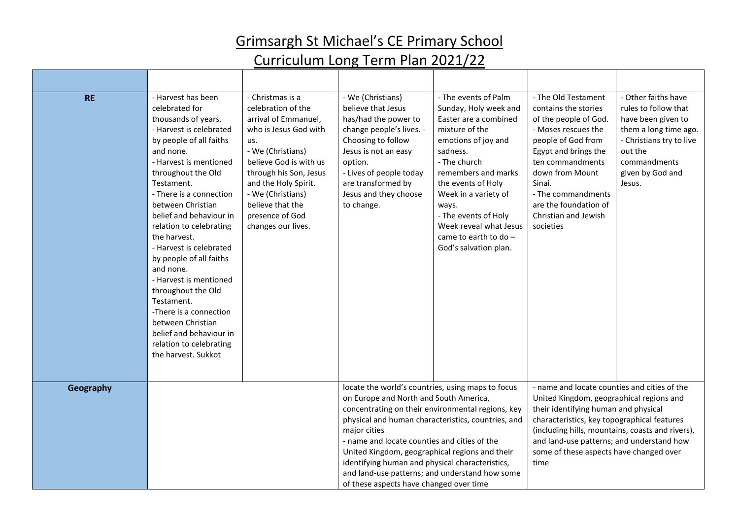| <b>RE</b> | - Harvest has been<br>celebrated for<br>thousands of years.<br>- Harvest is celebrated<br>by people of all faiths<br>and none.<br>- Harvest is mentioned<br>throughout the Old<br>Testament.<br>- There is a connection<br>between Christian<br>belief and behaviour in<br>relation to celebrating<br>the harvest.<br>- Harvest is celebrated<br>by people of all faiths<br>and none.<br>- Harvest is mentioned<br>throughout the Old<br>Testament.<br>-There is a connection<br>between Christian<br>belief and behaviour in<br>relation to celebrating<br>the harvest. Sukkot | - Christmas is a<br>celebration of the<br>arrival of Emmanuel,<br>who is Jesus God with<br>us.<br>- We (Christians)<br>believe God is with us<br>through his Son, Jesus<br>and the Holy Spirit.<br>- We (Christians)<br>believe that the<br>presence of God<br>changes our lives. | - We (Christians)<br>believe that Jesus<br>has/had the power to<br>change people's lives. -<br>Choosing to follow<br>Jesus is not an easy<br>option.<br>- Lives of people today<br>are transformed by<br>Jesus and they choose<br>to change.                                                                                                                                                                                                                             | - The events of Palm<br>Sunday, Holy week and<br>Easter are a combined<br>mixture of the<br>emotions of joy and<br>sadness.<br>- The church<br>remembers and marks<br>the events of Holy<br>Week in a variety of<br>ways.<br>- The events of Holy<br>Week reveal what Jesus<br>came to earth to do -<br>God's salvation plan. | - The Old Testament<br>contains the stories<br>of the people of God.<br>- Moses rescues the<br>people of God from<br>Egypt and brings the<br>ten commandments<br>down from Mount<br>Sinai.<br>- The commandments<br>are the foundation of<br>Christian and Jewish<br>societies                                                      | - Other faiths have<br>rules to follow that<br>have been given to<br>them a long time ago.<br>- Christians try to live<br>out the<br>commandments<br>given by God and<br>Jesus. |
|-----------|---------------------------------------------------------------------------------------------------------------------------------------------------------------------------------------------------------------------------------------------------------------------------------------------------------------------------------------------------------------------------------------------------------------------------------------------------------------------------------------------------------------------------------------------------------------------------------|-----------------------------------------------------------------------------------------------------------------------------------------------------------------------------------------------------------------------------------------------------------------------------------|--------------------------------------------------------------------------------------------------------------------------------------------------------------------------------------------------------------------------------------------------------------------------------------------------------------------------------------------------------------------------------------------------------------------------------------------------------------------------|-------------------------------------------------------------------------------------------------------------------------------------------------------------------------------------------------------------------------------------------------------------------------------------------------------------------------------|-------------------------------------------------------------------------------------------------------------------------------------------------------------------------------------------------------------------------------------------------------------------------------------------------------------------------------------|---------------------------------------------------------------------------------------------------------------------------------------------------------------------------------|
| Geography |                                                                                                                                                                                                                                                                                                                                                                                                                                                                                                                                                                                 |                                                                                                                                                                                                                                                                                   | locate the world's countries, using maps to focus<br>on Europe and North and South America,<br>concentrating on their environmental regions, key<br>physical and human characteristics, countries, and<br>major cities<br>- name and locate counties and cities of the<br>United Kingdom, geographical regions and their<br>identifying human and physical characteristics,<br>and land-use patterns; and understand how some<br>of these aspects have changed over time |                                                                                                                                                                                                                                                                                                                               | - name and locate counties and cities of the<br>United Kingdom, geographical regions and<br>their identifying human and physical<br>characteristics, key topographical features<br>(including hills, mountains, coasts and rivers),<br>and land-use patterns; and understand how<br>some of these aspects have changed over<br>time |                                                                                                                                                                                 |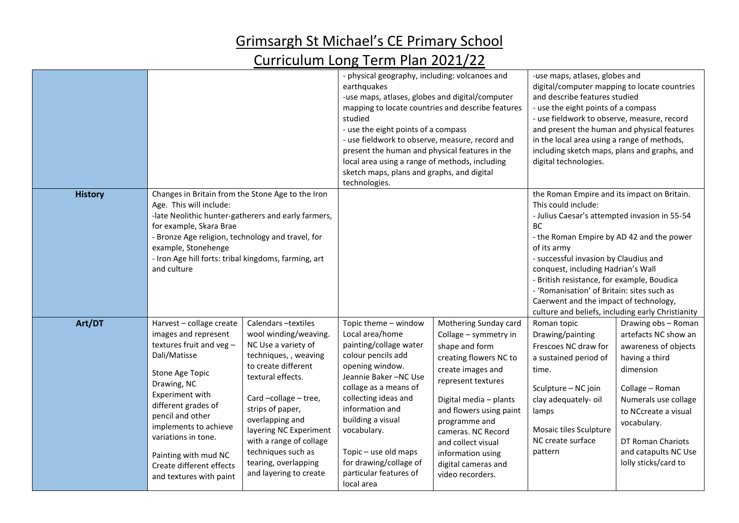|                |                                                                                                                                                                                                                                                                                                                            |                                                                                                                                                                                                                                                                                                                                     | - physical geography, including: volcanoes and<br>earthquakes<br>-use maps, atlases, globes and digital/computer<br>studied<br>- use the eight points of a compass<br>- use fieldwork to observe, measure, record and<br>present the human and physical features in the<br>local area using a range of methods, including<br>sketch maps, plans and graphs, and digital<br>technologies. | mapping to locate countries and describe features                                                                                                                                                                                                                                                                       | -use maps, atlases, globes and<br>digital/computer mapping to locate countries<br>and describe features studied<br>- use the eight points of a compass<br>- use fieldwork to observe, measure, record<br>and present the human and physical features<br>in the local area using a range of methods,<br>including sketch maps, plans and graphs, and<br>digital technologies.                                                                                           |                                                                                                                                                                                                                                                           |
|----------------|----------------------------------------------------------------------------------------------------------------------------------------------------------------------------------------------------------------------------------------------------------------------------------------------------------------------------|-------------------------------------------------------------------------------------------------------------------------------------------------------------------------------------------------------------------------------------------------------------------------------------------------------------------------------------|------------------------------------------------------------------------------------------------------------------------------------------------------------------------------------------------------------------------------------------------------------------------------------------------------------------------------------------------------------------------------------------|-------------------------------------------------------------------------------------------------------------------------------------------------------------------------------------------------------------------------------------------------------------------------------------------------------------------------|------------------------------------------------------------------------------------------------------------------------------------------------------------------------------------------------------------------------------------------------------------------------------------------------------------------------------------------------------------------------------------------------------------------------------------------------------------------------|-----------------------------------------------------------------------------------------------------------------------------------------------------------------------------------------------------------------------------------------------------------|
| <b>History</b> | Changes in Britain from the Stone Age to the Iron<br>Age. This will include:<br>for example, Skara Brae<br>- Bronze Age religion, technology and travel, for<br>example, Stonehenge<br>- Iron Age hill forts: tribal kingdoms, farming, art<br>and culture                                                                 | -late Neolithic hunter-gatherers and early farmers,                                                                                                                                                                                                                                                                                 |                                                                                                                                                                                                                                                                                                                                                                                          |                                                                                                                                                                                                                                                                                                                         | the Roman Empire and its impact on Britain.<br>This could include:<br>- Julius Caesar's attempted invasion in 55-54<br><b>BC</b><br>- the Roman Empire by AD 42 and the power<br>of its army<br>- successful invasion by Claudius and<br>conquest, including Hadrian's Wall<br>- British resistance, for example, Boudica<br>- 'Romanisation' of Britain: sites such as<br>Caerwent and the impact of technology,<br>culture and beliefs, including early Christianity |                                                                                                                                                                                                                                                           |
| Art/DT         | Harvest - collage create<br>images and represent<br>textures fruit and veg-<br>Dali/Matisse<br>Stone Age Topic<br>Drawing, NC<br>Experiment with<br>different grades of<br>pencil and other<br>implements to achieve<br>variations in tone.<br>Painting with mud NC<br>Create different effects<br>and textures with paint | Calendars-textiles<br>wool winding/weaving.<br>NC Use a variety of<br>techniques, , weaving<br>to create different<br>textural effects.<br>Card-collage - tree,<br>strips of paper,<br>overlapping and<br>layering NC Experiment<br>with a range of collage<br>techniques such as<br>tearing, overlapping<br>and layering to create | Topic theme - window<br>Local area/home<br>painting/collage water<br>colour pencils add<br>opening window.<br>Jeannie Baker-NC Use<br>collage as a means of<br>collecting ideas and<br>information and<br>building a visual<br>vocabulary.<br>Topic - use old maps<br>for drawing/collage of<br>particular features of<br>local area                                                     | Mothering Sunday card<br>Collage - symmetry in<br>shape and form<br>creating flowers NC to<br>create images and<br>represent textures<br>Digital media - plants<br>and flowers using paint<br>programme and<br>cameras. NC Record<br>and collect visual<br>information using<br>digital cameras and<br>video recorders. | Roman topic<br>Drawing/painting<br>Frescoes NC draw for<br>a sustained period of<br>time.<br>Sculpture - NC join<br>clay adequately-oil<br>lamps<br>Mosaic tiles Sculpture<br>NC create surface<br>pattern                                                                                                                                                                                                                                                             | Drawing obs - Roman<br>artefacts NC show an<br>awareness of objects<br>having a third<br>dimension<br>Collage - Roman<br>Numerals use collage<br>to NCcreate a visual<br>vocabulary.<br>DT Roman Chariots<br>and catapults NC Use<br>lolly sticks/card to |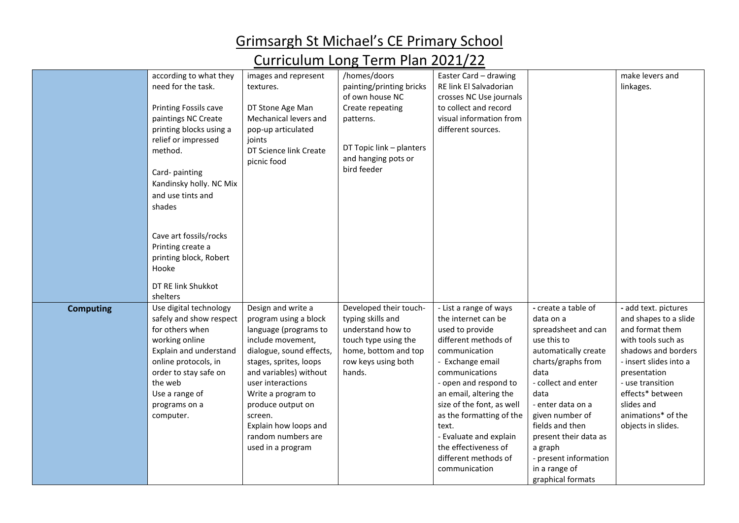|                  | according to what they  | images and represent     | /homes/doors             | Easter Card - drawing     |                       | make levers and        |
|------------------|-------------------------|--------------------------|--------------------------|---------------------------|-----------------------|------------------------|
|                  | need for the task.      | textures.                | painting/printing bricks | RE link El Salvadorian    |                       | linkages.              |
|                  |                         |                          | of own house NC          | crosses NC Use journals   |                       |                        |
|                  | Printing Fossils cave   | DT Stone Age Man         | Create repeating         | to collect and record     |                       |                        |
|                  | paintings NC Create     | Mechanical levers and    | patterns.                | visual information from   |                       |                        |
|                  | printing blocks using a | pop-up articulated       |                          | different sources.        |                       |                        |
|                  | relief or impressed     | joints                   |                          |                           |                       |                        |
|                  | method.                 | DT Science link Create   | DT Topic link - planters |                           |                       |                        |
|                  |                         | picnic food              | and hanging pots or      |                           |                       |                        |
|                  | Card-painting           |                          | bird feeder              |                           |                       |                        |
|                  | Kandinsky holly. NC Mix |                          |                          |                           |                       |                        |
|                  | and use tints and       |                          |                          |                           |                       |                        |
|                  | shades                  |                          |                          |                           |                       |                        |
|                  |                         |                          |                          |                           |                       |                        |
|                  |                         |                          |                          |                           |                       |                        |
|                  | Cave art fossils/rocks  |                          |                          |                           |                       |                        |
|                  | Printing create a       |                          |                          |                           |                       |                        |
|                  | printing block, Robert  |                          |                          |                           |                       |                        |
|                  | Hooke                   |                          |                          |                           |                       |                        |
|                  | DT RE link Shukkot      |                          |                          |                           |                       |                        |
|                  | shelters                |                          |                          |                           |                       |                        |
|                  | Use digital technology  | Design and write a       | Developed their touch-   | - List a range of ways    | - create a table of   | - add text. pictures   |
| <b>Computing</b> | safely and show respect | program using a block    | typing skills and        | the internet can be       | data on a             | and shapes to a slide  |
|                  | for others when         | language (programs to    | understand how to        | used to provide           | spreadsheet and can   | and format them        |
|                  | working online          | include movement,        | touch type using the     | different methods of      | use this to           | with tools such as     |
|                  | Explain and understand  | dialogue, sound effects, | home, bottom and top     | communication             | automatically create  | shadows and borders    |
|                  | online protocols, in    | stages, sprites, loops   | row keys using both      | - Exchange email          | charts/graphs from    | - insert slides into a |
|                  | order to stay safe on   | and variables) without   | hands.                   | communications            | data                  | presentation           |
|                  | the web                 | user interactions        |                          | - open and respond to     | - collect and enter   | - use transition       |
|                  | Use a range of          | Write a program to       |                          | an email, altering the    | data                  | effects* between       |
|                  | programs on a           | produce output on        |                          | size of the font, as well | - enter data on a     | slides and             |
|                  | computer.               | screen.                  |                          | as the formatting of the  | given number of       | animations* of the     |
|                  |                         | Explain how loops and    |                          | text.                     | fields and then       | objects in slides.     |
|                  |                         | random numbers are       |                          | - Evaluate and explain    | present their data as |                        |
|                  |                         | used in a program        |                          | the effectiveness of      | a graph               |                        |
|                  |                         |                          |                          | different methods of      | - present information |                        |
|                  |                         |                          |                          | communication             | in a range of         |                        |
|                  |                         |                          |                          |                           | graphical formats     |                        |
|                  |                         |                          |                          |                           |                       |                        |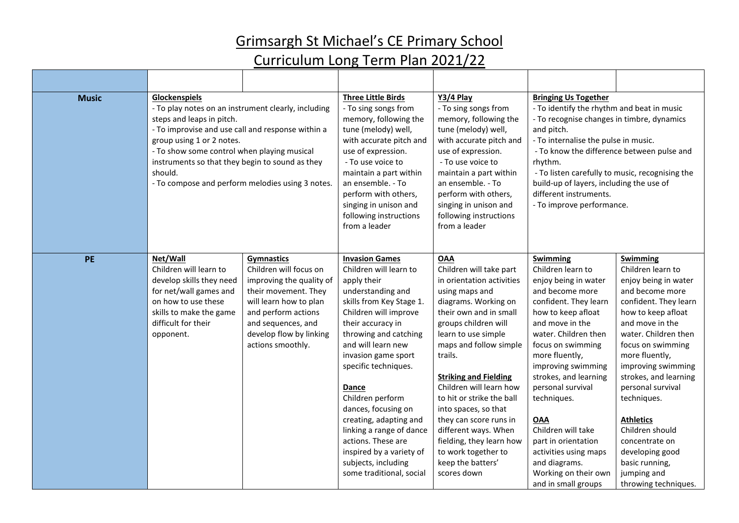| <b>Music</b> | Glockenspiels<br>- To play notes on an instrument clearly, including<br>steps and leaps in pitch.<br>- To improvise and use call and response within a<br>group using 1 or 2 notes.<br>- To show some control when playing musical<br>instruments so that they begin to sound as they<br>should.<br>- To compose and perform melodies using 3 notes. |                                                                                                                                                                                                                        | <b>Three Little Birds</b><br>- To sing songs from<br>memory, following the<br>tune (melody) well,<br>with accurate pitch and<br>use of expression.<br>- To use voice to<br>maintain a part within<br>an ensemble. - To<br>perform with others,<br>singing in unison and<br>following instructions<br>from a leader                                                                                                                                                         | Y3/4 Play<br>- To sing songs from<br>memory, following the<br>tune (melody) well,<br>with accurate pitch and<br>use of expression.<br>- To use voice to<br>maintain a part within<br>an ensemble. - To<br>perform with others,<br>singing in unison and<br>following instructions<br>from a leader                                                                                                                                                                                  | <b>Bringing Us Together</b><br>- To identify the rhythm and beat in music<br>- To recognise changes in timbre, dynamics<br>and pitch.<br>- To internalise the pulse in music.<br>- To know the difference between pulse and<br>rhythm.<br>- To listen carefully to music, recognising the<br>build-up of layers, including the use of<br>different instruments.<br>- To improve performance.                                                     |                                                                                                                                                                                                                                                                                                                                                                                                                                   |
|--------------|------------------------------------------------------------------------------------------------------------------------------------------------------------------------------------------------------------------------------------------------------------------------------------------------------------------------------------------------------|------------------------------------------------------------------------------------------------------------------------------------------------------------------------------------------------------------------------|----------------------------------------------------------------------------------------------------------------------------------------------------------------------------------------------------------------------------------------------------------------------------------------------------------------------------------------------------------------------------------------------------------------------------------------------------------------------------|-------------------------------------------------------------------------------------------------------------------------------------------------------------------------------------------------------------------------------------------------------------------------------------------------------------------------------------------------------------------------------------------------------------------------------------------------------------------------------------|--------------------------------------------------------------------------------------------------------------------------------------------------------------------------------------------------------------------------------------------------------------------------------------------------------------------------------------------------------------------------------------------------------------------------------------------------|-----------------------------------------------------------------------------------------------------------------------------------------------------------------------------------------------------------------------------------------------------------------------------------------------------------------------------------------------------------------------------------------------------------------------------------|
| <b>PE</b>    | Net/Wall<br>Children will learn to<br>develop skills they need<br>for net/wall games and<br>on how to use these<br>skills to make the game<br>difficult for their<br>opponent.                                                                                                                                                                       | <b>Gymnastics</b><br>Children will focus on<br>improving the quality of<br>their movement. They<br>will learn how to plan<br>and perform actions<br>and sequences, and<br>develop flow by linking<br>actions smoothly. | <b>Invasion Games</b><br>Children will learn to<br>apply their<br>understanding and<br>skills from Key Stage 1.<br>Children will improve<br>their accuracy in<br>throwing and catching<br>and will learn new<br>invasion game sport<br>specific techniques.<br>Dance<br>Children perform<br>dances, focusing on<br>creating, adapting and<br>linking a range of dance<br>actions. These are<br>inspired by a variety of<br>subjects, including<br>some traditional, social | <b>OAA</b><br>Children will take part<br>in orientation activities<br>using maps and<br>diagrams. Working on<br>their own and in small<br>groups children will<br>learn to use simple<br>maps and follow simple<br>trails.<br><b>Striking and Fielding</b><br>Children will learn how<br>to hit or strike the ball<br>into spaces, so that<br>they can score runs in<br>different ways. When<br>fielding, they learn how<br>to work together to<br>keep the batters'<br>scores down | Swimming<br>Children learn to<br>enjoy being in water<br>and become more<br>confident. They learn<br>how to keep afloat<br>and move in the<br>water. Children then<br>focus on swimming<br>more fluently,<br>improving swimming<br>strokes, and learning<br>personal survival<br>techniques.<br><b>OAA</b><br>Children will take<br>part in orientation<br>activities using maps<br>and diagrams.<br>Working on their own<br>and in small groups | Swimming<br>Children learn to<br>enjoy being in water<br>and become more<br>confident. They learn<br>how to keep afloat<br>and move in the<br>water. Children then<br>focus on swimming<br>more fluently,<br>improving swimming<br>strokes, and learning<br>personal survival<br>techniques.<br><b>Athletics</b><br>Children should<br>concentrate on<br>developing good<br>basic running,<br>jumping and<br>throwing techniques. |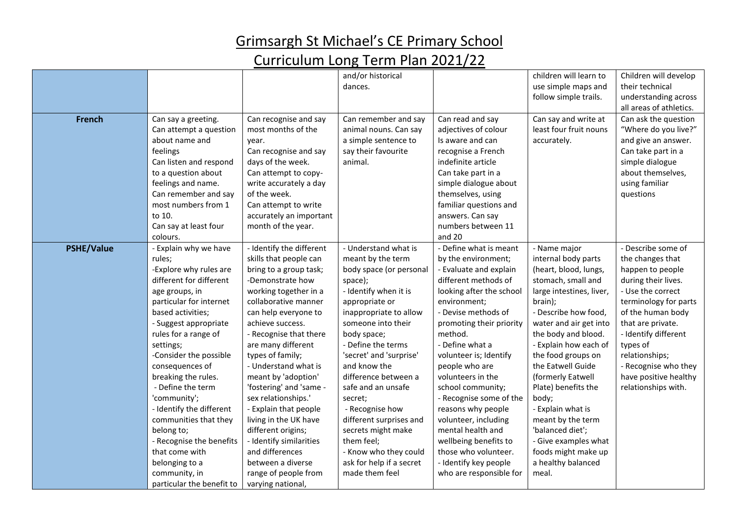|                   |                           |                          | and/or historical        |                          | children will learn to   | Children will develop   |
|-------------------|---------------------------|--------------------------|--------------------------|--------------------------|--------------------------|-------------------------|
|                   |                           |                          | dances.                  |                          | use simple maps and      | their technical         |
|                   |                           |                          |                          |                          | follow simple trails.    | understanding across    |
|                   |                           |                          |                          |                          |                          | all areas of athletics. |
| <b>French</b>     | Can say a greeting.       | Can recognise and say    | Can remember and say     | Can read and say         | Can say and write at     | Can ask the question    |
|                   | Can attempt a question    | most months of the       | animal nouns. Can say    | adjectives of colour     | least four fruit nouns   | "Where do you live?"    |
|                   | about name and            | year.                    | a simple sentence to     | Is aware and can         | accurately.              | and give an answer.     |
|                   | feelings                  | Can recognise and say    | say their favourite      | recognise a French       |                          | Can take part in a      |
|                   | Can listen and respond    | days of the week.        | animal.                  | indefinite article       |                          | simple dialogue         |
|                   | to a question about       | Can attempt to copy-     |                          | Can take part in a       |                          | about themselves,       |
|                   | feelings and name.        | write accurately a day   |                          | simple dialogue about    |                          | using familiar          |
|                   | Can remember and say      | of the week.             |                          | themselves, using        |                          | questions               |
|                   | most numbers from 1       | Can attempt to write     |                          | familiar questions and   |                          |                         |
|                   | to 10.                    | accurately an important  |                          | answers. Can say         |                          |                         |
|                   | Can say at least four     | month of the year.       |                          | numbers between 11       |                          |                         |
|                   | colours.                  |                          |                          | and 20                   |                          |                         |
| <b>PSHE/Value</b> | - Explain why we have     | - Identify the different | - Understand what is     | - Define what is meant   | - Name major             | - Describe some of      |
|                   | rules;                    | skills that people can   | meant by the term        | by the environment;      | internal body parts      | the changes that        |
|                   | -Explore why rules are    | bring to a group task;   | body space (or personal  | - Evaluate and explain   | (heart, blood, lungs,    | happen to people        |
|                   | different for different   | -Demonstrate how         | space);                  | different methods of     | stomach, small and       | during their lives.     |
|                   | age groups, in            | working together in a    | - Identify when it is    | looking after the school | large intestines, liver, | - Use the correct       |
|                   | particular for internet   | collaborative manner     | appropriate or           | environment;             | brain);                  | terminology for parts   |
|                   | based activities;         | can help everyone to     | inappropriate to allow   | - Devise methods of      | - Describe how food,     | of the human body       |
|                   | - Suggest appropriate     | achieve success.         | someone into their       | promoting their priority | water and air get into   | that are private.       |
|                   | rules for a range of      | - Recognise that there   | body space;              | method.                  | the body and blood.      | - Identify different    |
|                   | settings;                 | are many different       | - Define the terms       | - Define what a          | - Explain how each of    | types of                |
|                   | -Consider the possible    | types of family;         | 'secret' and 'surprise'  | volunteer is; Identify   | the food groups on       | relationships;          |
|                   | consequences of           | - Understand what is     | and know the             | people who are           | the Eatwell Guide        | - Recognise who they    |
|                   | breaking the rules.       | meant by 'adoption'      | difference between a     | volunteers in the        | (formerly Eatwell        | have positive healthy   |
|                   | - Define the term         | 'fostering' and 'same -  | safe and an unsafe       | school community;        | Plate) benefits the      | relationships with.     |
|                   | 'community';              | sex relationships.'      | secret;                  | - Recognise some of the  | body;                    |                         |
|                   | - Identify the different  | - Explain that people    | - Recognise how          | reasons why people       | - Explain what is        |                         |
|                   | communities that they     | living in the UK have    | different surprises and  | volunteer, including     | meant by the term        |                         |
|                   | belong to;                | different origins;       | secrets might make       | mental health and        | 'balanced diet';         |                         |
|                   | - Recognise the benefits  | - Identify similarities  | them feel;               | wellbeing benefits to    | - Give examples what     |                         |
|                   | that come with            | and differences          | - Know who they could    | those who volunteer.     | foods might make up      |                         |
|                   | belonging to a            | between a diverse        | ask for help if a secret | - Identify key people    | a healthy balanced       |                         |
|                   | community, in             | range of people from     | made them feel           | who are responsible for  | meal.                    |                         |
|                   | particular the benefit to | varying national,        |                          |                          |                          |                         |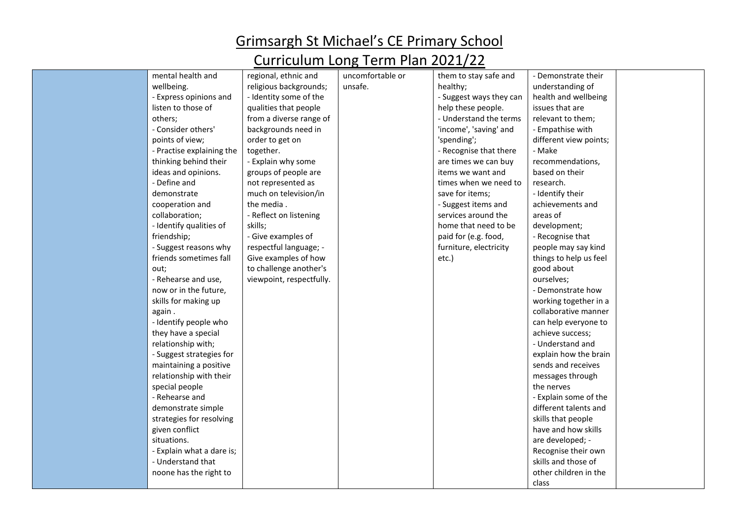| mental health and         | regional, ethnic and     | uncomfortable or | them to stay safe and   | - Demonstrate their    |  |
|---------------------------|--------------------------|------------------|-------------------------|------------------------|--|
| wellbeing.                | religious backgrounds;   | unsafe.          | healthy;                | understanding of       |  |
| - Express opinions and    | - Identity some of the   |                  | - Suggest ways they can | health and wellbeing   |  |
| listen to those of        | qualities that people    |                  | help these people.      | issues that are        |  |
| others;                   | from a diverse range of  |                  | - Understand the terms  | relevant to them;      |  |
| - Consider others'        | backgrounds need in      |                  | 'income', 'saving' and  | - Empathise with       |  |
| points of view;           | order to get on          |                  | 'spending';             | different view points; |  |
| - Practise explaining the | together.                |                  | - Recognise that there  | - Make                 |  |
| thinking behind their     | - Explain why some       |                  | are times we can buy    | recommendations,       |  |
| ideas and opinions.       | groups of people are     |                  | items we want and       | based on their         |  |
| - Define and              | not represented as       |                  | times when we need to   | research.              |  |
| demonstrate               | much on television/in    |                  | save for items;         | - Identify their       |  |
| cooperation and           | the media.               |                  | - Suggest items and     | achievements and       |  |
| collaboration;            | - Reflect on listening   |                  | services around the     | areas of               |  |
| - Identify qualities of   | skills;                  |                  | home that need to be    | development;           |  |
| friendship;               | - Give examples of       |                  | paid for (e.g. food,    | - Recognise that       |  |
| - Suggest reasons why     | respectful language; -   |                  | furniture, electricity  | people may say kind    |  |
| friends sometimes fall    | Give examples of how     |                  | etc.)                   | things to help us feel |  |
| out;                      | to challenge another's   |                  |                         | good about             |  |
| - Rehearse and use,       | viewpoint, respectfully. |                  |                         | ourselves;             |  |
| now or in the future,     |                          |                  |                         | - Demonstrate how      |  |
| skills for making up      |                          |                  |                         | working together in a  |  |
| again.                    |                          |                  |                         | collaborative manner   |  |
| - Identify people who     |                          |                  |                         | can help everyone to   |  |
| they have a special       |                          |                  |                         | achieve success;       |  |
| relationship with;        |                          |                  |                         | - Understand and       |  |
| - Suggest strategies for  |                          |                  |                         | explain how the brain  |  |
| maintaining a positive    |                          |                  |                         | sends and receives     |  |
| relationship with their   |                          |                  |                         | messages through       |  |
| special people            |                          |                  |                         | the nerves             |  |
| - Rehearse and            |                          |                  |                         | - Explain some of the  |  |
| demonstrate simple        |                          |                  |                         | different talents and  |  |
| strategies for resolving  |                          |                  |                         | skills that people     |  |
| given conflict            |                          |                  |                         | have and how skills    |  |
| situations.               |                          |                  |                         | are developed; -       |  |
| - Explain what a dare is; |                          |                  |                         | Recognise their own    |  |
| - Understand that         |                          |                  |                         | skills and those of    |  |
| noone has the right to    |                          |                  |                         | other children in the  |  |
|                           |                          |                  |                         | class                  |  |